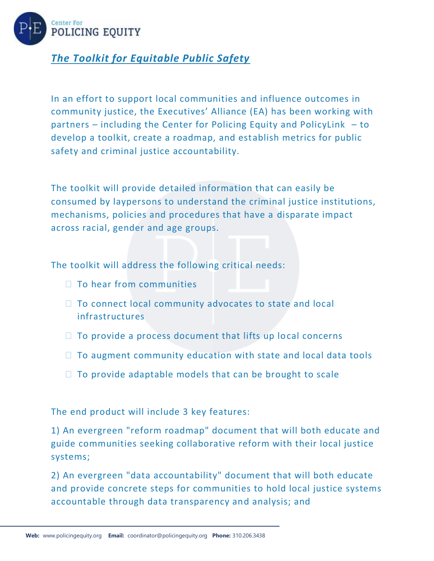

## *The Toolkit for Equitable Public Safety*

In an effort to support local communities and influence outcomes in community justice, the Executives' Alliance (EA) has been working with partners – including the Center for Policing Equity and PolicyLink – to develop a toolkit, create a roadmap, and establish metrics for public safety and criminal justice accountability.

The toolkit will provide detailed information that can easily be consumed by laypersons to understand the criminal justice institutions, mechanisms, policies and procedures that have a disparate impact across racial, gender and age groups.

The toolkit will address the following critical needs:

- $\Box$  To hear from communities
- $\Box$  To connect local community advocates to state and local infrastructures
- $\Box$  To provide a process document that lifts up local concerns
- $\Box$  To augment community education with state and local data tools
- $\Box$  To provide adaptable models that can be brought to scale

The end product will include 3 key features:

1) An evergreen "reform roadmap" document that will both educate and guide communities seeking collaborative reform with their local justice systems;

2) An evergreen "data accountability" document that will both educate and provide concrete steps for communities to hold local justice systems accountable through data transparency and analysis; and